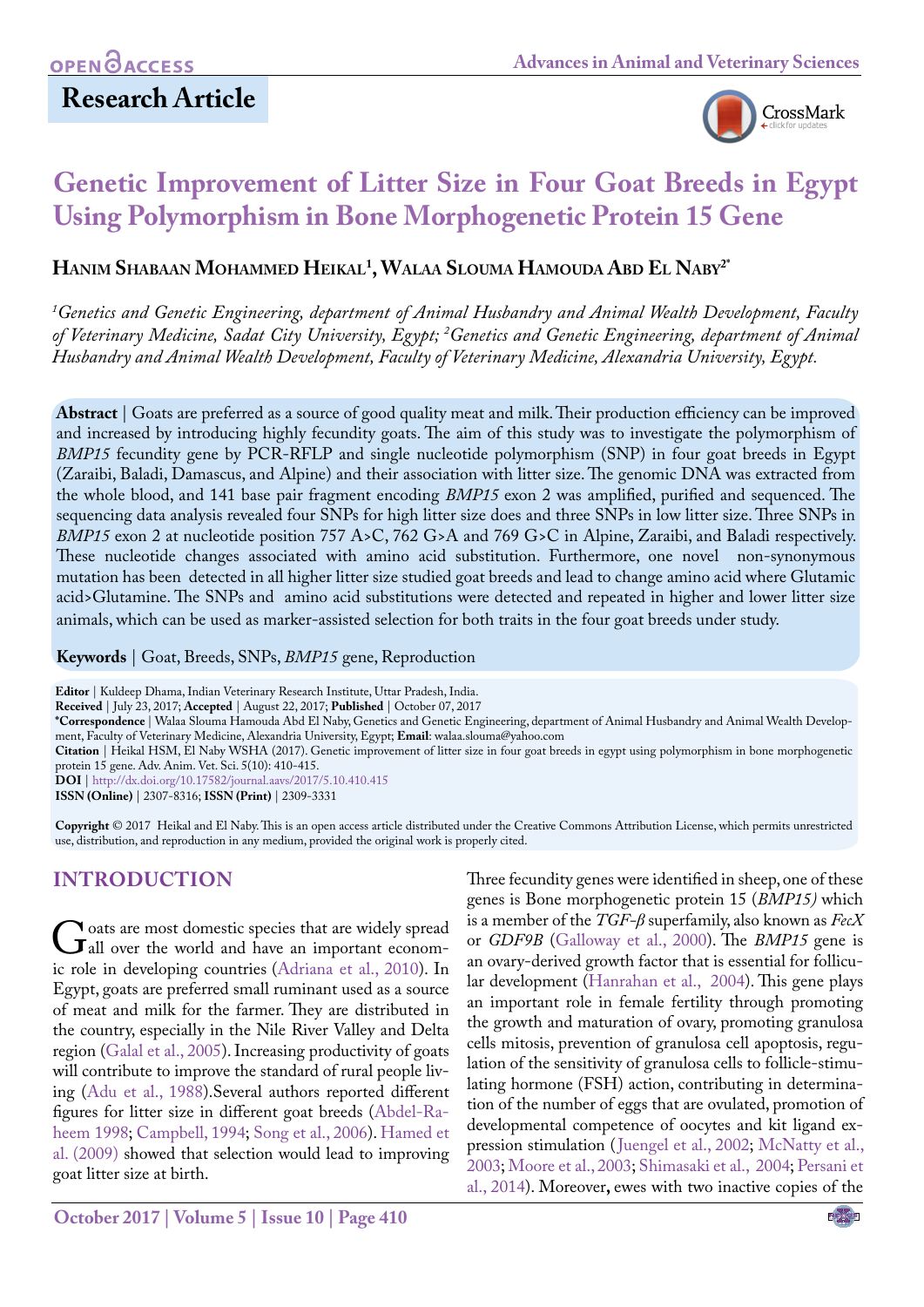

# **Genetic Improvement of Litter Size in Four Goat Breeds in Egypt Using Polymorphism in Bone Morphogenetic Protein 15 Gene**

## **Hanim Shabaan Mohammed Heikal1 , Walaa Slouma Hamouda Abd El Naby2\***

*1 Genetics and Genetic Engineering, department of Animal Husbandry and Animal Wealth Development, Faculty of Veterinary Medicine, Sadat City University, Egypt; 2 Genetics and Genetic Engineering, department of Animal Husbandry and Animal Wealth Development, Faculty of Veterinary Medicine, Alexandria University, Egypt.*

**Abstract** | Goats are preferred as a source of good quality meat and milk. Their production efficiency can be improved and increased by introducing highly fecundity goats. The aim of this study was to investigate the polymorphism of *BMP15* fecundity gene by PCR-RFLP and single nucleotide polymorphism (SNP) in four goat breeds in Egypt (Zaraibi, Baladi, Damascus, and Alpine) and their association with litter size. The genomic DNA was extracted from the whole blood, and 141 base pair fragment encoding *BMP15* exon 2 was amplified, purified and sequenced. The sequencing data analysis revealed four SNPs for high litter size does and three SNPs in low litter size. Three SNPs in *BMP15* exon 2 at nucleotide position 757 A>C, 762 G>A and 769 G>C in Alpine, Zaraibi, and Baladi respectively. These nucleotide changes associated with amino acid substitution. Furthermore, one novel non-synonymous mutation has been detected in all higher litter size studied goat breeds and lead to change amino acid where Glutamic acid>Glutamine. The SNPs and amino acid substitutions were detected and repeated in higher and lower litter size animals, which can be used as marker-assisted selection for both traits in the four goat breeds under study.

#### **Keywords** | Goat, Breeds, SNPs, *BMP15* gene, Reproduction

**Editor** | Kuldeep Dhama, Indian Veterinary Research Institute, Uttar Pradesh, India.

**Received** | July 23, 2017; **Accepted** | August 22, 2017; **Published** | October 07, 2017

**\*Correspondence** | Walaa Slouma Hamouda Abd El Naby, Genetics and Genetic Engineering, department of Animal Husbandry and Animal Wealth Development, Faculty of Veterinary Medicine, Alexandria University, Egypt; **Email**: walaa.slouma@yahoo.com

**Citation** | Heikal HSM, El Naby WSHA (2017). Genetic improvement of litter size in four goat breeds in egypt using polymorphism in bone morphogenetic protein 15 gene. Adv. Anim. Vet. Sci. 5(10): 410-415.

**DOI** | <http://dx.doi.org/10.17582/journal.aavs/2017/5.10.410.415>

**ISSN (Online)** | 2307-8316; **ISSN (Print)** | 2309-3331

**Copyright** © 2017 Heikal and El Naby. This is an open access article distributed under the Creative Commons Attribution License, which permits unrestricted use, distribution, and reproduction in any medium, provided the original work is properly cited.

## **INTRODUCTION**

Goats are most domestic species that are widely spread<br>
all over the world and have an important econom-<br>
is role in developing countries (Adriana et al. 2010) In ic role in developing countries (Adriana et al., 2010). In Egypt, goats are preferred small ruminant used as a source of meat and milk for the farmer. They are distributed in the country, especially in the Nile River Valley and Delta region [\(Galal et al., 2005\)](#page-4-1). Increasing productivity of goats will contribute to improve the standard of rural people living [\(Adu et al., 1988\)](#page-4-2).Several authors reported different figures for litter size in different goat breeds [\(Abdel-Ra](#page-4-3)[heem 1998;](#page-4-3) [Campbell, 1994](#page-4-4); [Song et al., 2006\)](#page-5-0). [Hamed et](#page-4-5)  [al. \(2009\)](#page-4-5) showed that selection would lead to improving goat litter size at birth.

Three fecundity genes were identified in sheep, one of these genes is Bone morphogenetic protein 15 (*BMP15)* which is a member of the *TGF-β* superfamily, also known as *FecX* or *GDF9B* (Galloway et al., 2000). The *BMP15* gene is an ovary-derived growth factor that is essential for follicular development (Hanrahan et al., 2004). This gene plays an important role in female fertility through promoting the growth and maturation of ovary, promoting granulosa cells mitosis, prevention of granulosa cell apoptosis, regulation of the sensitivity of granulosa cells to follicle-stimulating hormone (FSH) action, contributing in determination of the number of eggs that are ovulated, promotion of developmental competence of oocytes and kit ligand expression stimulation (Juengel et al., 2002; McNatty et al., 2003; [Moore et al., 2003](#page-4-6); [Shimasaki et al., 2004](#page-5-1); [Persani et](#page-4-7) [al., 2014](#page-4-7)). Moreover**,** ewes with two inactive copies of the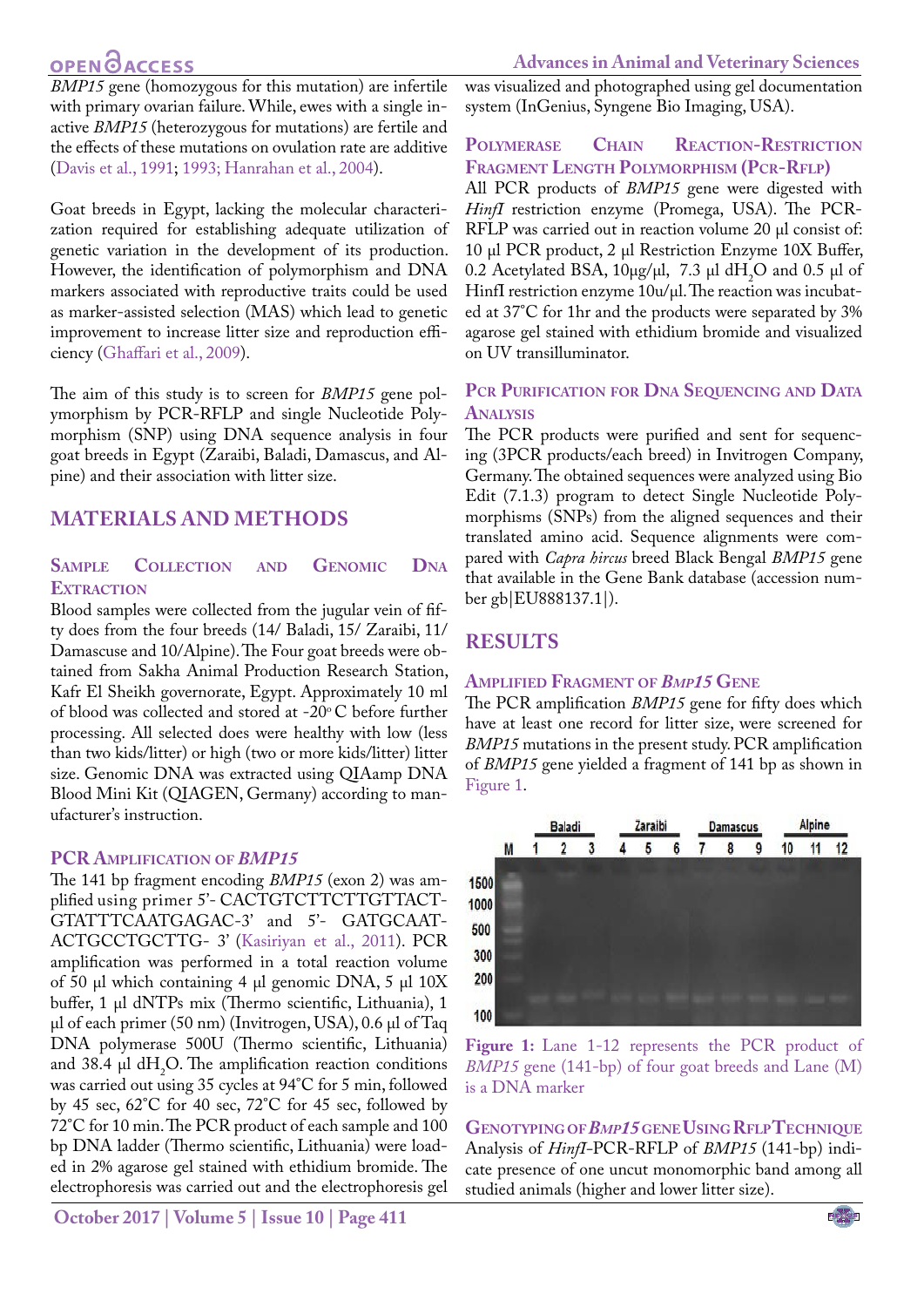## **OPEN GACCESS**

*BMP15* gene (homozygous for this mutation) are infertile with primary ovarian failure. While, ewes with a single inactive *BMP15* (heterozygous for mutations) are fertile and the effects of these mutations on ovulation rate are additive [\(Davis et al., 1991](#page-4-8); [1993;](#page-4-9) Hanrahan et al., 2004).

Goat breeds in Egypt, lacking the molecular characterization required for establishing adequate utilization of genetic variation in the development of its production. However, the identification of polymorphism and DNA markers associated with reproductive traits could be used as marker-assisted selection (MAS) which lead to genetic improvement to increase litter size and reproduction efficiency [\(Ghaffari et al., 2009\)](#page-4-10).

The aim of this study is to screen for *BMP15* gene polymorphism by PCR-RFLP and single Nucleotide Polymorphism (SNP) using DNA sequence analysis in four goat breeds in Egypt (Zaraibi, Baladi, Damascus, and Alpine) and their association with litter size.

### **MATERIALS AND METHODS**

### **Sample Collection and Genomic Dna EXTRACTION**

Blood samples were collected from the jugular vein of fifty does from the four breeds (14/ Baladi, 15/ Zaraibi, 11/ Damascuse and 10/Alpine). The Four goat breeds were obtained from Sakha Animal Production Research Station, Kafr El Sheikh governorate, Egypt. Approximately 10 ml of blood was collected and stored at -20°C before further processing. All selected does were healthy with low (less than two kids/litter) or high (two or more kids/litter) litter size. Genomic DNA was extracted using QIAamp DNA Blood Mini Kit (QIAGEN, Germany) according to manufacturer's instruction.

### **PCR Amplification of** *BMP15*

The 141 bp fragment encoding *BMP15* (exon 2) was amplified using primer 5'- CACTGTCTTCTTGTTACT-GTATTTCAATGAGAC-3' and 5'- GATGCAAT-ACTGCCTGCTTG- 3' [\(Kasiriyan et al., 2011](#page-4-11)). PCR amplification was performed in a total reaction volume of 50 µl which containing 4 µl genomic DNA, 5 µl 10X buffer, 1 µl dNTPs mix (Thermo scientific, Lithuania), 1 µl of each primer (50 nm) (Invitrogen, USA), 0.6 µl of Taq DNA polymerase 500U (Thermo scientific, Lithuania) and 38.4  $\mu$ l dH<sub>2</sub>O. The amplification reaction conditions was carried out using 35 cycles at 94°C for 5 min, followed by 45 sec, 62°C for 40 sec, 72°C for 45 sec, followed by 72°C for 10 min. The PCR product of each sample and 100 bp DNA ladder (Thermo scientific, Lithuania) were loaded in 2% agarose gel stained with ethidium bromide. The electrophoresis was carried out and the electrophoresis gel

**October 2017 | Volume 5 | Issue 10 | Page 411**

was visualized and photographed using gel documentation system (InGenius, Syngene Bio Imaging, USA).

### **Polymerase Chain Reaction-Restriction Fragment Length Polymorphism (Pcr-Rflp)**

All PCR products of *BMP15* gene were digested with *HinfI* restriction enzyme (Promega, USA). The PCR-RFLP was carried out in reaction volume 20 µl consist of: 10 µl PCR product, 2 µl Restriction Enzyme 10X Buffer, 0.2 Acetylated BSA,  $10\mu$ g/ $\mu$ l, 7.3  $\mu$ l dH<sub>2</sub>O and 0.5  $\mu$ l of HinfI restriction enzyme 10u/µl. The reaction was incubated at 37°C for 1hr and the products were separated by 3% agarose gel stained with ethidium bromide and visualized on UV transilluminator.

### **Pcr Purification for Dna Sequencing and Data Analysis**

The PCR products were purified and sent for sequencing (3PCR products/each breed) in Invitrogen Company, Germany. The obtained sequences were analyzed using Bio Edit (7.1.3) program to detect Single Nucleotide Polymorphisms (SNPs) from the aligned sequences and their translated amino acid. Sequence alignments were compared with *Capra hircus* breed Black Bengal *BMP15* gene that available in the Gene Bank database (accession number gb|EU888137.1|).

## **RESULTS**

### **Amplified Fragment of** *Bmp15* **Gene**

The PCR amplification *BMP15* gene for fifty does which have at least one record for litter size, were screened for *BMP15* mutations in the present study. PCR amplification of *BMP15* gene yielded a fragment of 141 bp as shown in [Figure 1](#page-1-0).



<span id="page-1-0"></span>Figure 1: Lane 1-12 represents the PCR product of *BMP15* gene (141-bp) of four goat breeds and Lane (M) is a DNA marker

**Genotypingof***Bmp15* **geneUsing RflpTechnique** Analysis of *HinfI-*PCR-RFLP of *BMP15* (141-bp) indicate presence of one uncut monomorphic band among all studied animals (higher and lower litter size).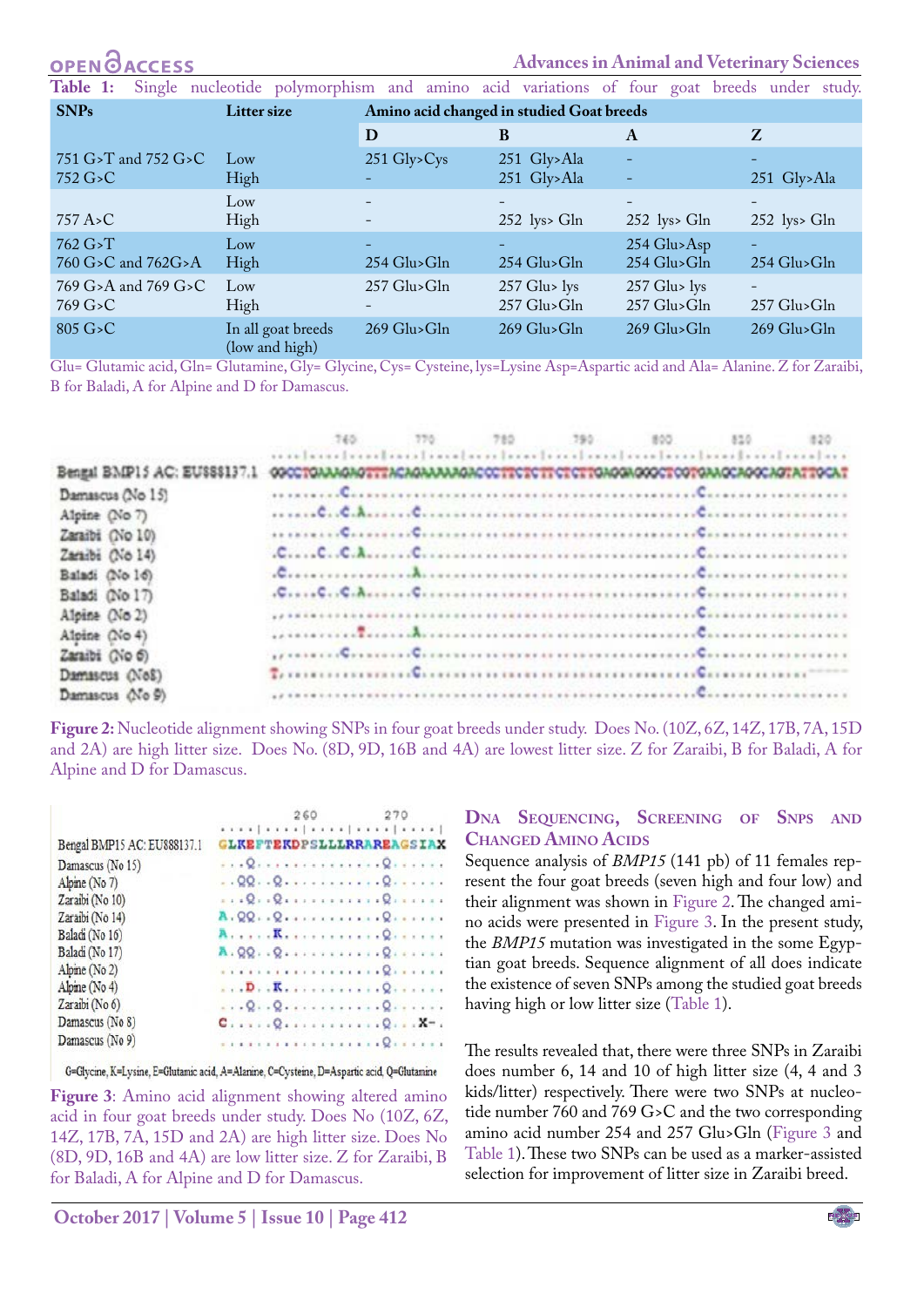#### **OPEN CCESS**

769 G>A and 769 G>C

769 G>C

#### **Advances in Animal and Veterinary Sciences**

257 Glu> lys 257 Glu>Gln

-

257 Glu>Gln

<span id="page-2-2"></span>**Table 1:** Single nucleotide polymorphism and amino acid variations of four goat breeds under study. **SNPs Litter size Amino acid changed in studied Goat breeds D B A Z** 751 G>T and 752 G>C 752 G>C Low High 251 Gly>Cys - 251 Gly>Ala 251 Gly>Ala - - - 251 Gly>Ala 757 A>C Low High - - - 252 lys> Gln - 252 lys> Gln - 252 lys> Gln 762 G>T 760 G>C and 762G>A Low High - 254 Glu>Gln - 254 Glu>Gln 254 Glu>Asp 254 Glu>Gln - 254 Glu>Gln

> 257 Glu> lys 257 Glu>Gln

257 Glu>Gln

-

805 G>C In all goat breeds (low and high) 269 Glu>Gln 269 Glu>Gln 269 Glu>Gln 269 Glu>Gln

Low High

Glu= Glutamic acid, Gln= Glutamine, Gly= Glycine, Cys= Cysteine, lys=Lysine Asp=Aspartic acid and Ala= Alanine. Z for Zaraibi,

B for Baladi, A for Alpine and D for Damascus.

|                                |  | 780 | 790 | 800                                              | 810 | 820 |
|--------------------------------|--|-----|-----|--------------------------------------------------|-----|-----|
|                                |  |     |     | tradition bredered and confirm bredered and reas |     |     |
| Bengal BMP15 AC: EU\$\$\$137.1 |  |     |     |                                                  |     |     |
| Damascus (No 15)               |  |     |     |                                                  |     |     |
| Alpine (No 7)                  |  |     |     |                                                  |     |     |
| Zaraibi (No 10)                |  |     |     |                                                  |     |     |
| Zaraibi (No 14)                |  |     |     |                                                  |     |     |
| Baladi (No 16)                 |  |     |     |                                                  |     |     |
| Baladi (No 17)                 |  |     |     |                                                  |     |     |
| Alpine (No 2)                  |  |     |     |                                                  |     |     |
| Alpine (No 4)                  |  |     |     |                                                  |     |     |
| Zaraibi (No 6)                 |  |     |     |                                                  |     |     |
| Damascus (No8)                 |  |     |     |                                                  |     |     |
| Damascus (No 9)                |  |     |     |                                                  |     |     |

<span id="page-2-0"></span>**Figure 2:** Nucleotide alignment showing SNPs in four goat breeds under study. Does No. (10Z, 6Z, 14Z, 17B, 7A, 15D and 2A) are high litter size. Does No. (8D, 9D, 16B and 4A) are lowest litter size. Z for Zaraibi, B for Baladi, A for Alpine and D for Damascus.

|                             | 260<br>270                                            |
|-----------------------------|-------------------------------------------------------|
|                             | .                                                     |
| Bengal BMP15 AC: EU888137.1 | <b>GLKEFTEKDPSLLLRRAREAGSIAX</b>                      |
| Damascus (No 15)            | $\cdots$ Q.                                           |
| Alpine (No 7)               |                                                       |
| Zaraibi (No 10)             | $$ Q. . Q. Q.                                         |
| Zaraibi (No 14)             | A. QQ. . Q. Q.                                        |
| Baladi (No 16)              |                                                       |
| Baladi (No 17)              | A. QQ. . Q. Q.                                        |
| Alpine ( $No 2$ )           |                                                       |
| Alpine ( $No 4$ )           |                                                       |
| Zaraibi (No 6)              | $$ , Q. . Q. Q.                                       |
| Damascus (No 8)             | $C_{1}, \ldots, Q_{i}, \ldots, \ldots, Q_{i}$ . . X-. |
| Damascus (No 9)             |                                                       |
|                             |                                                       |

G=Glycine, K=Lysine, E=Glutamic acid, A=Alanine, C=Cysteine, D=Aspartic acid, Q=Glutamine

<span id="page-2-1"></span>**Figure 3:** Amino acid alignment showing altered amino acid in four goat breeds under study. Does No (10Z, 6Z, 14Z, 17B, 7A, 15D and 2A) are high litter size. Does No (8D, 9D, 16B and 4A) are low litter size. Z for Zaraibi, B for Baladi, A for Alpine and D for Damascus.

### **Dna Sequencing, Screening of Snps and Changed Amino Acids**

Sequence analysis of *BMP15* (141 pb) of 11 females represent the four goat breeds (seven high and four low) and their alignment was shown in [Figure 2.](#page-2-0) The changed amino acids were presented in [Figure 3](#page-2-1). In the present study, the *BMP15* mutation was investigated in the some Egyptian goat breeds. Sequence alignment of all does indicate the existence of seven SNPs among the studied goat breeds having high or low litter size ([Table 1](#page-2-2)).

The results revealed that, there were three SNPs in Zaraibi does number 6, 14 and 10 of high litter size (4, 4 and 3 kids/litter) respectively. There were two SNPs at nucleotide number 760 and 769 G>C and the two corresponding amino acid number 254 and 257 Glu>Gln ([Figure 3](#page-2-1) and [Table 1](#page-2-2)). These two SNPs can be used as a marker-assisted selection for improvement of litter size in Zaraibi breed.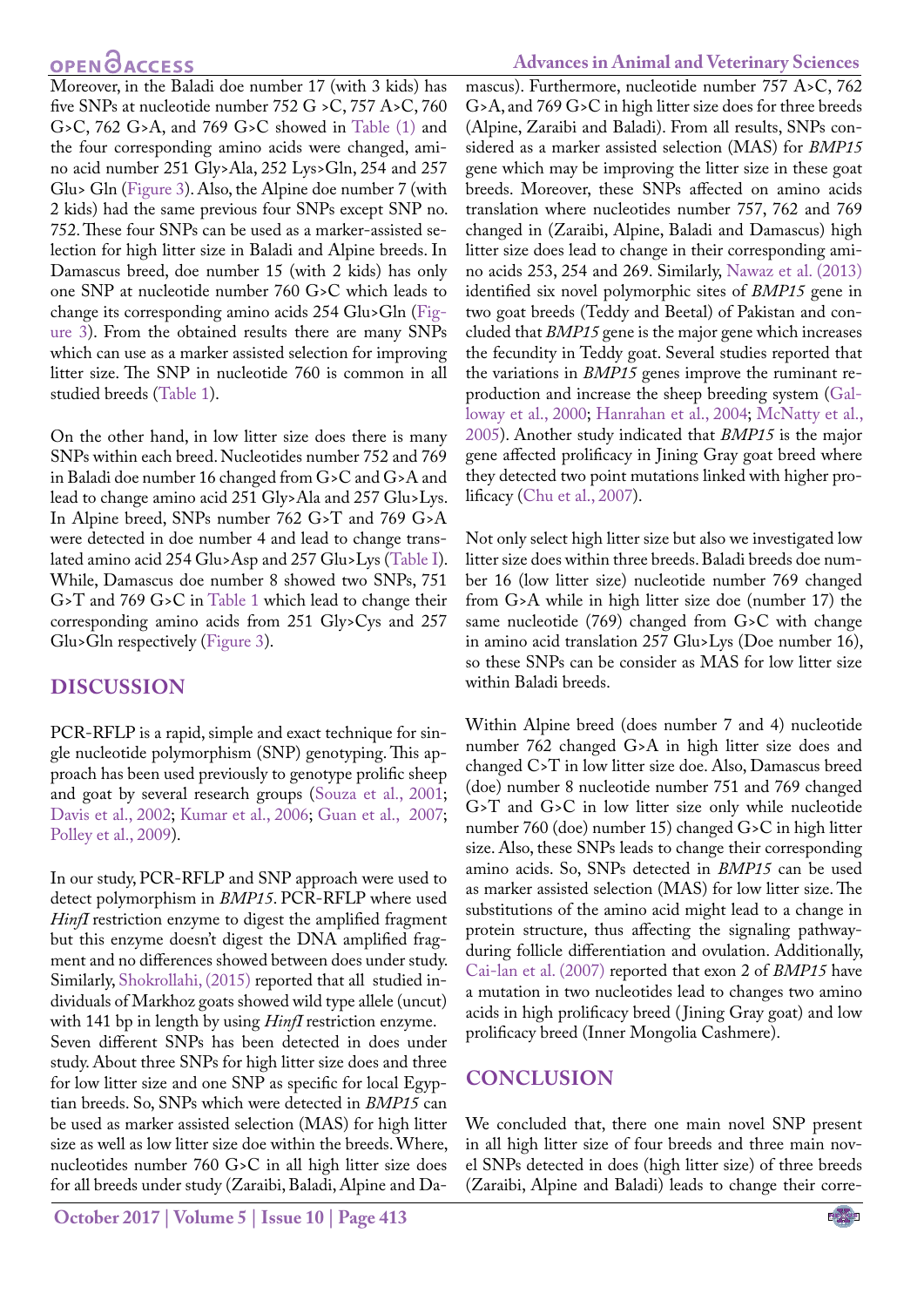## **OPEN**OACCESS

Moreover, in the Baladi doe number 17 (with 3 kids) has five SNPs at nucleotide number 752 G > C, 757 A>C, 760 G>C, 762 G>A, and 769 G>C showed in Table (1) and the four corresponding amino acids were changed, amino acid number 251 Gly>Ala, 252 Lys>Gln, 254 and 257 Glu> Gln ([Figure 3\)](#page-2-1). Also, the Alpine doe number 7 (with 2 kids) had the same previous four SNPs except SNP no. 752. These four SNPs can be used as a marker-assisted selection for high litter size in Baladi and Alpine breeds. In Damascus breed, doe number 15 (with 2 kids) has only one SNP at nucleotide number 760 G>C which leads to change its corresponding amino acids 254 Glu>Gln ([Fig](#page-2-1)[ure 3](#page-2-1)). From the obtained results there are many SNPs which can use as a marker assisted selection for improving litter size. The SNP in nucleotide 760 is common in all studied breeds [\(Table 1](#page-2-2)).

On the other hand, in low litter size does there is many SNPs within each breed. Nucleotides number 752 and 769 in Baladi doe number 16 changed from G>C and G>A and lead to change amino acid 251 Gly>Ala and 257 Glu>Lys. In Alpine breed, SNPs number 762 G>T and 769 G>A were detected in doe number 4 and lead to change translated amino acid 254 Glu>Asp and 257 Glu>Lys [\(Table I](#page-2-2)). While, Damascus doe number 8 showed two SNPs, 751 G>T and 769 G>C in [Table 1](#page-2-2) which lead to change their corresponding amino acids from 251 Gly>Cys and 257 Glu>Gln respectively ([Figure 3](#page-2-1)).

### **DISCUSSION**

PCR-RFLP is a rapid, simple and exact technique for single nucleotide polymorphism (SNP) genotyping. This approach has been used previously to genotype prolific sheep and goat by several research groups [\(Souza et al., 2001;](#page-5-2) Davis et al., 2002; [Kumar et al., 2006](#page-4-12)[; Guan et al., 2007;](#page-4-13) [Polley et al., 2009](#page-5-3)).

In our study, PCR-RFLP and SNP approach were used to detect polymorphism in *BMP15*. PCR-RFLP where used *HinfI* restriction enzyme to digest the amplified fragment but this enzyme doesn't digest the DNA amplified fragment and no differences showed between does under study. Similarly, [Shokrollahi, \(2015\)](#page-5-4) reported that all studied individuals of Markhoz goats showed wild type allele (uncut) with 141 bp in length by using *HinfI* restriction enzyme. Seven different SNPs has been detected in does under study. About three SNPs for high litter size does and three for low litter size and one SNP as specific for local Egyptian breeds. So, SNPs which were detected in *BMP15* can be used as marker assisted selection (MAS) for high litter size as well as low litter size doe within the breeds. Where, nucleotides number 760 G>C in all high litter size does for all breeds under study (Zaraibi, Baladi, Alpine and Da-

### **Advances in Animal and Veterinary Sciences**

mascus). Furthermore, nucleotide number 757 A>C, 762 G>A, and 769 G>C in high litter size does for three breeds (Alpine, Zaraibi and Baladi). From all results, SNPs considered as a marker assisted selection (MAS) for *BMP15* gene which may be improving the litter size in these goat breeds. Moreover, these SNPs affected on amino acids translation where nucleotides number 757, 762 and 769 changed in (Zaraibi, Alpine, Baladi and Damascus) high litter size does lead to change in their corresponding amino acids 253, 254 and 269. Similarly, [Nawaz et al. \(2013\)](#page-4-14) identified six novel polymorphic sites of *BMP15* gene in two goat breeds (Teddy and Beetal) of Pakistan and concluded that *BMP15* gene is the major gene which increases the fecundity in Teddy goat. Several studies reported that the variations in *BMP15* genes improve the ruminant reproduction and increase the sheep breeding system (Galloway et al., 2000; Hanrahan et al., 2004; McNatty et al., 2005). Another study indicated that *BMP15* is the major gene affected prolificacy in Jining Gray goat breed where they detected two point mutations linked with higher prolificacy [\(Chu et al., 2007\)](#page-4-15).

Not only select high litter size but also we investigated low litter size does within three breeds. Baladi breeds doe number 16 (low litter size) nucleotide number 769 changed from G>A while in high litter size doe (number 17) the same nucleotide (769) changed from G>C with change in amino acid translation 257 Glu>Lys (Doe number 16), so these SNPs can be consider as MAS for low litter size within Baladi breeds.

Within Alpine breed (does number 7 and 4) nucleotide number 762 changed G>A in high litter size does and changed C>T in low litter size doe. Also, Damascus breed (doe) number 8 nucleotide number 751 and 769 changed G>T and G>C in low litter size only while nucleotide number 760 (doe) number 15) changed G>C in high litter size. Also, these SNPs leads to change their corresponding amino acids. So, SNPs detected in *BMP15* can be used as marker assisted selection (MAS) for low litter size. The substitutions of the amino acid might lead to a change in protein structure, thus affecting the signaling pathwayduring follicle differentiation and ovulation. Additionally, [Cai-lan et al. \(2007\)](#page-4-16) reported that exon 2 of *BMP15* have a mutation in two nucleotides lead to changes two amino acids in high prolificacy breed ( Jining Gray goat) and low prolificacy breed (Inner Mongolia Cashmere).

### **CONCLUSION**

We concluded that, there one main novel SNP present in all high litter size of four breeds and three main novel SNPs detected in does (high litter size) of three breeds (Zaraibi, Alpine and Baladi) leads to change their corre-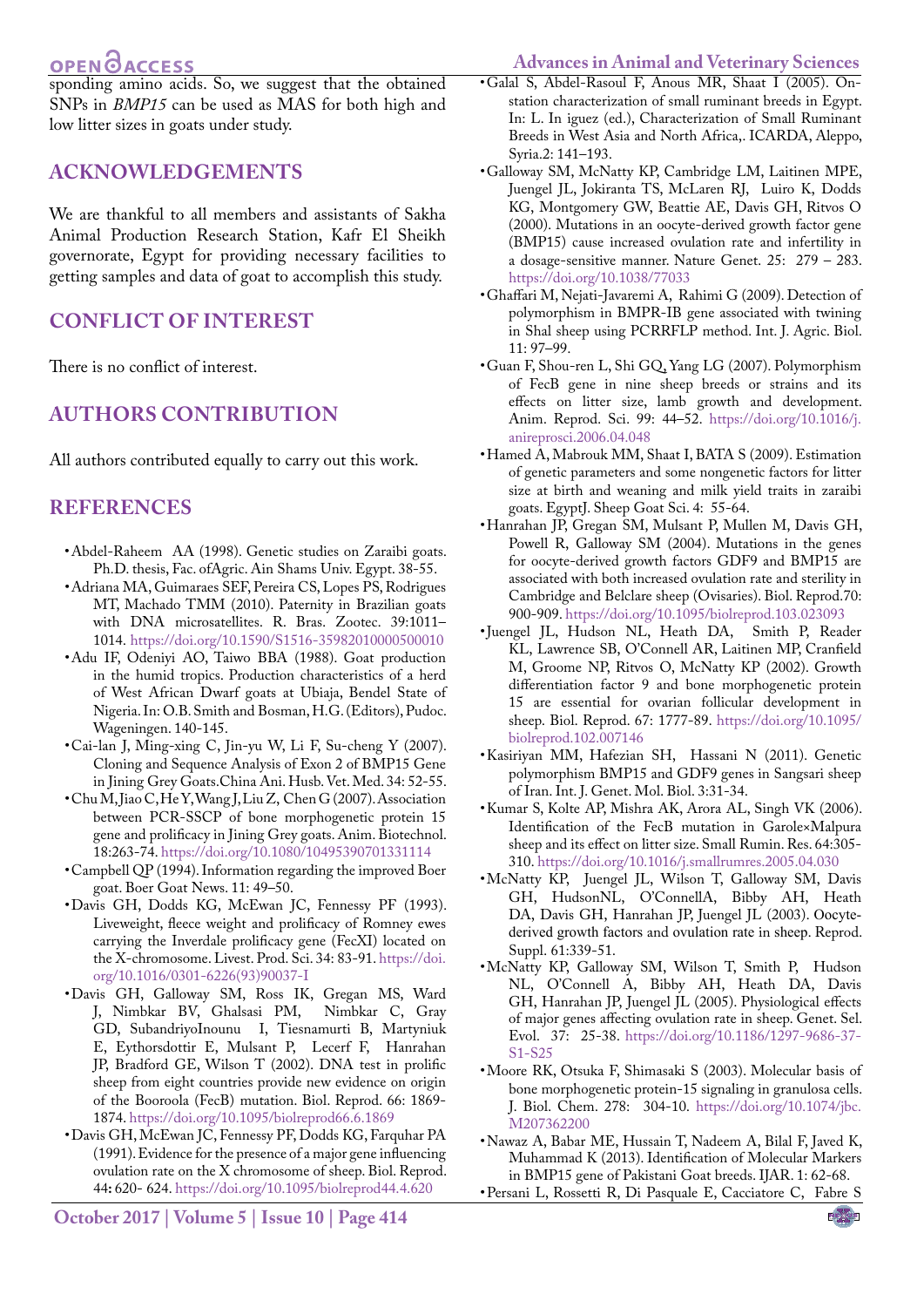## **OPEN OACCESS**

<span id="page-4-1"></span>**Advances in Animal and Veterinary Sciences**

sponding amino acids. So, we suggest that the obtained SNPs in *BMP15* can be used as MAS for both high and low litter sizes in goats under study.

### **ACKNOWLEDGEMENTS**

We are thankful to all members and assistants of Sakha Animal Production Research Station, Kafr El Sheikh governorate, Egypt for providing necessary facilities to getting samples and data of goat to accomplish this study.

## **CONFLICT OF INTEREST**

There is no conflict of interest.

## **Authors contribution**

All authors contributed equally to carry out this work.

### **REFERENCES**

- <span id="page-4-3"></span>• Abdel-Raheem AA (1998). Genetic studies on Zaraibi goats. Ph.D. thesis, Fac. ofAgric. Ain Shams Univ. Egypt. 38-55.
- <span id="page-4-0"></span>• Adriana MA, Guimaraes SEF, Pereira CS, Lopes PS, Rodrigues MT, Machado TMM (2010). Paternity in Brazilian goats with DNA microsatellites. R. Bras. Zootec. 39:1011– 1014. [https://doi.org/10.1590/S1516-35982010000500010](�https://doi.org/10.1590/S1516-35982010000500010 )
- <span id="page-4-2"></span>• Adu IF, Odeniyi AO, Taiwo BBA (1988). Goat production in the humid tropics. Production characteristics of a herd of West African Dwarf goats at Ubiaja, Bendel State of Nigeria. In: O.B. Smith and Bosman, H.G. (Editors), Pudoc. Wageningen. 140-145.
- <span id="page-4-16"></span>• Cai-lan J, Ming-xing C, Jin-yu W, Li F, Su-cheng Y (2007). Cloning and Sequence Analysis of Exon 2 of BMP15 Gene in Jining Grey Goats[.China Ani. Husb. Vet. Med. 34: 52-55.](http://en.cnki.com.cn/Journal_en/D-D050-GWXK-2007-12.htm)
- <span id="page-4-15"></span>• Chu M, Jiao C, He Y, Wang J, Liu Z, Chen G (2007). Association between PCR-SSCP of bone morphogenetic protein 15 gene and prolificacy in Jining Grey goats. Anim. Biotechnol. 18:263-74. [https://doi.org/10.1080/10495390701331114](https://doi.org/10.1080/10495390701331114 )
- <span id="page-4-4"></span>• Campbell QP (1994). Information regarding the improved Boer goat. Boer Goat News. 11: 49–50.
- <span id="page-4-9"></span>• Davis GH, Dodds KG, McEwan JC, Fennessy PF (1993). Liveweight, fleece weight and prolificacy of Romney ewes carrying the Inverdale prolificacy gene (FecXI) located on the X-chromosome. Livest. Prod. Sci. 34: 83-91. [https://doi.](https://doi.org/10.1016/0301-6226(93)90037-I ) [org/10.1016/0301-6226\(93\)90037-I](https://doi.org/10.1016/0301-6226(93)90037-I )
- • Davis GH, Galloway SM, Ross IK, Gregan MS, Ward J, Nimbkar BV, Ghalsasi PM, [GD](https://www.ncbi.nlm.nih.gov/pubmed/?term=Gray GD%5BAuthor%5D&cauthor=true&cauthor_uid=12021074),  [Subandriyo](https://www.ncbi.nlm.nih.gov/pubmed/?term=Subandriyo%5BAuthor%5D&cauthor=true&cauthor_uid=12021074)[Inounu I,](https://www.ncbi.nlm.nih.gov/pubmed/?term=Inounu I%5BAuthor%5D&cauthor=true&cauthor_uid=12021074)  [Tiesnamurti B,](https://www.ncbi.nlm.nih.gov/pubmed/?term=Tiesnamurti B%5BAuthor%5D&cauthor=true&cauthor_uid=12021074)  [Martyniuk](https://www.ncbi.nlm.nih.gov/pubmed/?term=Martyniuk E%5BAuthor%5D&cauthor=true&cauthor_uid=12021074) [E,](https://www.ncbi.nlm.nih.gov/pubmed/?term=Martyniuk E%5BAuthor%5D&cauthor=true&cauthor_uid=12021074)  [Eythorsdottir E](https://www.ncbi.nlm.nih.gov/pubmed/?term=Eythorsdottir E%5BAuthor%5D&cauthor=true&cauthor_uid=12021074),  [Mulsant P](https://www.ncbi.nlm.nih.gov/pubmed/?term=Mulsant P%5BAuthor%5D&cauthor=true&cauthor_uid=12021074),  [Lecerf F,](https://www.ncbi.nlm.nih.gov/pubmed/?term=Lecerf F%5BAuthor%5D&cauthor=true&cauthor_uid=12021074)  [Hanrahan](https://www.ncbi.nlm.nih.gov/pubmed/?term=Hanrahan JP%5BAuthor%5D&cauthor=true&cauthor_uid=12021074) [JP,](https://www.ncbi.nlm.nih.gov/pubmed/?term=Hanrahan JP%5BAuthor%5D&cauthor=true&cauthor_uid=12021074)  [Bradford GE,](https://www.ncbi.nlm.nih.gov/pubmed/?term=Bradford GE%5BAuthor%5D&cauthor=true&cauthor_uid=12021074) [Wilson T](https://www.ncbi.nlm.nih.gov/pubmed/?term=Wilson T%5BAuthor%5D&cauthor=true&cauthor_uid=12021074) (2002). DNA test in prolific sheep from eight countries provide new evidence on origin of the Booroola (FecB) mutation. Biol. Reprod. 66: 1869- 1874. [https://doi.org/10.1095/biolreprod66.6.1869](https://doi.org/10.1095/biolreprod66.6.1869 )
- <span id="page-4-8"></span>• Davis GH, McEwan JC, Fennessy PF, Dodds KG, Farquhar PA (1991). Evidence for the presence of a major gene influencing ovulation rate on the X chromosome of sheep. Biol. Reprod. 44**:** 620- 624. <https://doi.org/10.1095/biolreprod44.4.620>
- • Galal S, Abdel-Rasoul F, Anous MR, Shaat I (2005). Onstation characterization of small ruminant breeds in Egypt. In: L. In iguez (ed.), Characterization of Small Ruminant Breeds in West Asia and North Africa,. ICARDA, Aleppo, Syria.2: 141–193.
- • Galloway SM, McNatty KP, Cambridge LM, Laitinen MPE, Juengel JL, Jokiranta TS, [McLaren RJ](https://www.ncbi.nlm.nih.gov/pubmed/?term=McLaren RJ%5BAuthor%5D&cauthor=true&cauthor_uid=10888873),  [Luiro K,](https://www.ncbi.nlm.nih.gov/pubmed/?term=Luiro K%5BAuthor%5D&cauthor=true&cauthor_uid=10888873)  [Dodds](https://www.ncbi.nlm.nih.gov/pubmed/?term=Dodds KG%5BAuthor%5D&cauthor=true&cauthor_uid=10888873) [KG,](https://www.ncbi.nlm.nih.gov/pubmed/?term=Dodds KG%5BAuthor%5D&cauthor=true&cauthor_uid=10888873) [Montgomery GW](https://www.ncbi.nlm.nih.gov/pubmed/?term=Montgomery GW%5BAuthor%5D&cauthor=true&cauthor_uid=10888873), [Beattie AE](https://www.ncbi.nlm.nih.gov/pubmed/?term=Beattie AE%5BAuthor%5D&cauthor=true&cauthor_uid=10888873), [Davis GH,](https://www.ncbi.nlm.nih.gov/pubmed/?term=Davis GH%5BAuthor%5D&cauthor=true&cauthor_uid=10888873) [Ritvos O](https://www.ncbi.nlm.nih.gov/pubmed/?term=Ritvos O%5BAuthor%5D&cauthor=true&cauthor_uid=10888873) (2000). Mutations in an oocyte-derived growth factor gene (BMP15) cause increased ovulation rate and infertility in a dosage-sensitive manner. Nature Genet. 25: 279 – 283. [https://doi.org/10.1038/77033](https://doi.org/10.1038/77033 )
- <span id="page-4-10"></span>• Ghaffari M, Nejati-Javaremi A, Rahimi G (2009). Detection of polymorphism in BMPR-IB gene associated with twining in Shal sheep using PCRRFLP method. Int. J. Agric. Biol. 11: 97–99.
- <span id="page-4-13"></span>• Guan F, Shou-ren L, Shi GQ, Yang LG (2007). Polymorphism of FecB gene in nine sheep breeds or strains and its effects on litter size, lamb growth and development. Anim. Reprod. Sci. 99: 44–52. [https://doi.org/10.1016/j.](https://doi.org/10.1016/j.anireprosci.2006.04.048 ) [anireprosci.2006.04.048](https://doi.org/10.1016/j.anireprosci.2006.04.048 )
- <span id="page-4-5"></span>• Hamed A, Mabrouk MM, Shaat I, BATA S (2009). Estimation of genetic parameters and some nongenetic factors for litter size at birth and weaning and milk yield traits in zaraibi goats. EgyptJ. Sheep Goat Sci. 4: 55-64.
- • Hanrahan JP, Gregan SM, Mulsant P, Mullen M, Davis GH, Powell R, [Galloway SM](https://www.ncbi.nlm.nih.gov/pubmed/?term=Galloway SM%5BAuthor%5D&cauthor=true&cauthor_uid=14627550) (2004). Mutations in the genes for oocyte-derived growth factors GDF9 and BMP15 are associated with both increased ovulation rate and sterility in Cambridge and Belclare sheep (Ovisaries). Biol. Reprod.70: 900-909. [https://doi.org/10.1095/biolreprod.103.023093](https://doi.org/10.1095/biolreprod.103.023093 )
- • Juengel JL, Hudson NL, Heath DA, [Smith P](https://www.ncbi.nlm.nih.gov/pubmed/?term=Smith P%5BAuthor%5D&cauthor=true&cauthor_uid=12444053),  [Reader](https://www.ncbi.nlm.nih.gov/pubmed/?term=Reader KL%5BAuthor%5D&cauthor=true&cauthor_uid=12444053) [KL,](https://www.ncbi.nlm.nih.gov/pubmed/?term=Reader KL%5BAuthor%5D&cauthor=true&cauthor_uid=12444053) [Lawrence SB](https://www.ncbi.nlm.nih.gov/pubmed/?term=Lawrence SB%5BAuthor%5D&cauthor=true&cauthor_uid=12444053), O'Connell AR, Laitinen MP, Cranfield M, Groome NP, Ritvos O, McNatty KP (2002). Growth differentiation factor 9 and bone morphogenetic protein 15 are essential for ovarian follicular development in sheep. Biol. Reprod. 67: 1777-89. [https://doi.org/10.1095/](https://doi.org/10.1095/biolreprod.102.007146 ) [biolreprod.102.007146](https://doi.org/10.1095/biolreprod.102.007146 )
- <span id="page-4-11"></span>• Kasiriyan MM, Hafezian SH, Hassani N (2011). Genetic polymorphism BMP15 and GDF9 genes in Sangsari sheep of Iran. Int. J. Genet. Mol. Biol. 3:31-34.
- <span id="page-4-12"></span>• Kumar S, Kolte AP, Mishra AK, Arora AL, Singh VK (2006). Identification of the FecB mutation in Garole×Malpura sheep and its effect on litter size. Small Rumin. Res. 64:305- 310.<https://doi.org/10.1016/j.smallrumres.2005.04.030>
- • [McNatty KP,](https://www.ncbi.nlm.nih.gov/pubmed/?term=McNatty KP%5BAuthor%5D&cauthor=true&cauthor_uid=14635946) [Juengel JL,](https://www.ncbi.nlm.nih.gov/pubmed/?term=Juengel JL%5BAuthor%5D&cauthor=true&cauthor_uid=14635946) [Wilson T,](https://www.ncbi.nlm.nih.gov/pubmed/?term=Wilson T%5BAuthor%5D&cauthor=true&cauthor_uid=14635946) [Galloway SM](https://www.ncbi.nlm.nih.gov/pubmed/?term=Galloway SM%5BAuthor%5D&cauthor=true&cauthor_uid=14635946), [Davis](https://www.ncbi.nlm.nih.gov/pubmed/?term=Davis GH%5BAuthor%5D&cauthor=true&cauthor_uid=14635946) [GH,](https://www.ncbi.nlm.nih.gov/pubmed/?term=Davis GH%5BAuthor%5D&cauthor=true&cauthor_uid=14635946) [HudsonNL](https://www.ncbi.nlm.nih.gov/pubmed/?term=Hudson NL%5BAuthor%5D&cauthor=true&cauthor_uid=14635946), [O'ConnellA,](https://www.ncbi.nlm.nih.gov/pubmed/?term=O%27Connell A%5BAuthor%5D&cauthor=true&cauthor_uid=15601593)  [Bibby AH,](https://www.ncbi.nlm.nih.gov/pubmed/?term=Bibby AH%5BAuthor%5D&cauthor=true&cauthor_uid=15601593)  [Heath](https://www.ncbi.nlm.nih.gov/pubmed/?term=Heath DA%5BAuthor%5D&cauthor=true&cauthor_uid=15601593) [DA](https://www.ncbi.nlm.nih.gov/pubmed/?term=Heath DA%5BAuthor%5D&cauthor=true&cauthor_uid=15601593), [Davis GH](https://www.ncbi.nlm.nih.gov/pubmed/?term=Davis GH%5BAuthor%5D&cauthor=true&cauthor_uid=15601593), [Hanrahan JP,](https://www.ncbi.nlm.nih.gov/pubmed/?term=Hanrahan JP%5BAuthor%5D&cauthor=true&cauthor_uid=15601593) [Juengel JL](https://www.ncbi.nlm.nih.gov/pubmed/?term=Juengel JL%5BAuthor%5D&cauthor=true&cauthor_uid=15601593) (2003). Oocytederived growth factors and ovulation rate in sheep. [Reprod.](https://www.ncbi.nlm.nih.gov/pubmed/14635946) [Suppl.](https://www.ncbi.nlm.nih.gov/pubmed/14635946) 61:339-51.
- • [McNatty KP,](https://www.ncbi.nlm.nih.gov/pubmed/?term=McNatty KP%5BAuthor%5D&cauthor=true&cauthor_uid=15601593)  [Galloway SM](https://www.ncbi.nlm.nih.gov/pubmed/?term=Galloway SM%5BAuthor%5D&cauthor=true&cauthor_uid=15601593),  [Wilson T](https://www.ncbi.nlm.nih.gov/pubmed/?term=Wilson T%5BAuthor%5D&cauthor=true&cauthor_uid=15601593),  [Smith P](https://www.ncbi.nlm.nih.gov/pubmed/?term=Smith P%5BAuthor%5D&cauthor=true&cauthor_uid=15601593), [Hudson](https://www.ncbi.nlm.nih.gov/pubmed/?term=Hudson NL%5BAuthor%5D&cauthor=true&cauthor_uid=15601593) [NL,](https://www.ncbi.nlm.nih.gov/pubmed/?term=Hudson NL%5BAuthor%5D&cauthor=true&cauthor_uid=15601593)  [O'Connell A](https://www.ncbi.nlm.nih.gov/pubmed/?term=O%27Connell A%5BAuthor%5D&cauthor=true&cauthor_uid=15601593),  [Bibby AH,](https://www.ncbi.nlm.nih.gov/pubmed/?term=Bibby AH%5BAuthor%5D&cauthor=true&cauthor_uid=15601593)  [Heath DA](https://www.ncbi.nlm.nih.gov/pubmed/?term=Heath DA%5BAuthor%5D&cauthor=true&cauthor_uid=15601593),  [Davis](https://www.ncbi.nlm.nih.gov/pubmed/?term=Davis GH%5BAuthor%5D&cauthor=true&cauthor_uid=15601593) [GH,](https://www.ncbi.nlm.nih.gov/pubmed/?term=Davis GH%5BAuthor%5D&cauthor=true&cauthor_uid=15601593) [Hanrahan JP](https://www.ncbi.nlm.nih.gov/pubmed/?term=Hanrahan JP%5BAuthor%5D&cauthor=true&cauthor_uid=15601593), [Juengel JL](https://www.ncbi.nlm.nih.gov/pubmed/?term=Juengel JL%5BAuthor%5D&cauthor=true&cauthor_uid=15601593) (2005). Physiological effects of major genes affecting ovulation rate in sheep. Genet. Sel. Evol. 37: 25-38. [https://doi.org/10.1186/1297-9686-37-](https://doi.org/10.1186/1297-9686-37-S1-S25 ) [S1-S25](https://doi.org/10.1186/1297-9686-37-S1-S25 )
- <span id="page-4-6"></span>• Moore RK, Otsuka F, Shimasaki S (2003). Molecular basis of bone morphogenetic protein-15 signaling in granulosa cells. J. Biol. Chem. 278: 304-10. [https://doi.org/10.1074/jbc.](https://doi.org/10.1074/jbc.M207362200 ) [M207362200](https://doi.org/10.1074/jbc.M207362200 )
- <span id="page-4-14"></span>• Nawaz A, Babar ME, Hussain T, Nadeem A, Bilal F, Javed K, Muhammad K (2013). Identification of Molecular Markers in BMP15 gene of Pakistani Goat breeds. IJAR. 1: 62-68.
- <span id="page-4-7"></span>• Persani L, Rossetti R, Di Pasquale E, Cacciatore C, Fabre S